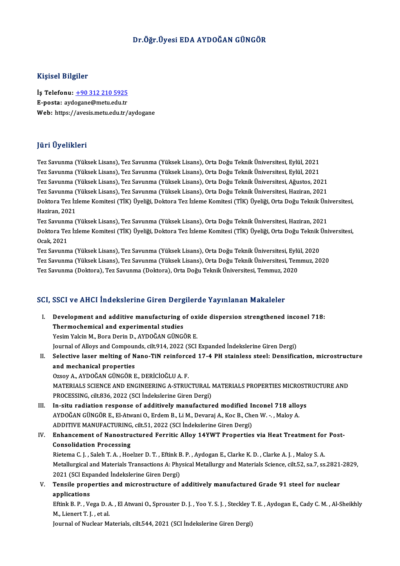## Dr.Öğr.Üyesi EDA AYDOĞAN GÜNGÖR

### Kişisel Bilgiler

Kişisel Bilgiler<br>İş Telefonu: <u>+90 312 210 5925</u><br>E nosta: avdasane@metu.edu.tr 11191001 Dugnot<br>İş Telefonu: <u>+90 312 210 5925</u><br>E-posta: ayd[ogane@metu.edu.tr](tel:+90 312 210 5925) E-posta: aydogane@metu.edu.tr<br>Web: https://avesis.metu.edu.tr/aydogane

## JüriÜyelikleri

Tez Savunma (YüksekLisans),Tez Savunma (YüksekLisans),OrtaDoğuTeknikÜniversitesi,Eylül,2021 yarr Oyommorr<br>Tez Savunma (Yüksek Lisans), Tez Savunma (Yüksek Lisans), Orta Doğu Teknik Üniversitesi, Eylül, 2021<br>Tez Savunma (Yüksek Lisans), Tez Savunma (Yüksek Lisans), Orta Doğu Teknik Üniversitesi, Eylül, 2021<br>Tez Sa Tez Savunma (Yüksek Lisans), Tez Savunma (Yüksek Lisans), Orta Doğu Teknik Üniversitesi, Eylül, 2021<br>Tez Savunma (Yüksek Lisans), Tez Savunma (Yüksek Lisans), Orta Doğu Teknik Üniversitesi, Eylül, 2021<br>Tez Savunma (Yüksek Tez Savunma (Yüksek Lisans), Tez Savunma (Yüksek Lisans), Orta Doğu Teknik Üniversitesi, Eylül, 2021<br>Tez Savunma (Yüksek Lisans), Tez Savunma (Yüksek Lisans), Orta Doğu Teknik Üniversitesi, Ağustos, 2021<br>Tez Savunma (Yükse Tez Savunma (Yüksek Lisans), Tez Savunma (Yüksek Lisans), Orta Doğu Teknik Üniversitesi, Ağustos, 2021<br>Tez Savunma (Yüksek Lisans), Tez Savunma (Yüksek Lisans), Orta Doğu Teknik Üniversitesi, Haziran, 2021<br>Doktora Tez İzle Tez Savunma (Yüksek Lisans), Tez Savunma (Yüksek Lisans), Orta Doğu Teknik Üniversitesi, Haziran, 2021

Tez Savunma (YüksekLisans),Tez Savunma (YüksekLisans),OrtaDoğuTeknikÜniversitesi,Haziran,2021 Haziran, 2021<br>Tez Savunma (Yüksek Lisans), Tez Savunma (Yüksek Lisans), Orta Doğu Teknik Üniversitesi, Haziran, 2021<br>Doktora Tez İzleme Komitesi (TİK) Üyeliği, Doktora Tez İzleme Komitesi (TİK) Üyeliği, Orta Doğu Teknik Ün Tez Savunm<br>Doktora Tez<br>Ocak, 2021<br>Tez Savunm Doktora Tez İzleme Komitesi (TİK) Üyeliği, Doktora Tez İzleme Komitesi (TİK) Üyeliği, Orta Doğu Teknik l<br>Ocak, 2021<br>Tez Savunma (Yüksek Lisans), Tez Savunma (Yüksek Lisans), Orta Doğu Teknik Üniversitesi, Eylül, 2020<br>Tez S

Ocak, 2021<br>Tez Savunma (Yüksek Lisans), Tez Savunma (Yüksek Lisans), Orta Doğu Teknik Üniversitesi, Eylül, 2020<br>Tez Savunma (Yüksek Lisans), Tez Savunma (Yüksek Lisans), Orta Doğu Teknik Üniversitesi, Temmuz, 2020<br>Tez Savu Tez Savunma (Yüksek Lisans), Tez Savunma (Yüksek Lisans), Orta Doğu Teknik Üniversitesi, Eylü<br>Tez Savunma (Yüksek Lisans), Tez Savunma (Yüksek Lisans), Orta Doğu Teknik Üniversitesi, Tem<br>Tez Savunma (Doktora), Tez Savunma Tez Savunma (Doktora), Tez Savunma (Doktora), Orta Doğu Teknik Üniversitesi, Temmuz, 2020<br>SCI, SSCI ve AHCI İndekslerine Giren Dergilerde Yayınlanan Makaleler

I. Development and additive manufacturing of oxide dispersion strengthened inconel 718: Thermochemical and experimental studies Yesim Yalcin M., Bora Derin D., AYDOĞAN GÜNGÖR E. Journal of Alloys and Compounds, cilt.914, 2022 (SCI Expanded İndekslerine Giren Dergi) Yesim Yalcin M., Bora Derin D., AYDOĞAN GÜNGÖR E.<br>Journal of Alloys and Compounds, cilt.914, 2022 (SCI Expanded İndekslerine Giren Dergi)<br>II. Selective laser melting of Nano-TiN reinforced 17-4 PH stainless steel: Densific Journal of Alloys and Compour<br>Selective laser melting of N<br>and mechanical properties<br>Ozsey A ANDOČAN CÜNCÖB E Selective laser melting of Nano-TiN reinforce<br>and mechanical properties<br>Ozsoy A., AYDOĞAN GÜNGÖR E., DERİCİOĞLU A. F.<br>MATERIALS SCIENCE AND ENCINEERING A STRIK and mechanical properties<br>Ozsoy A., AYDOĞAN GÜNGÖR E., DERİCİOĞLU A. F.<br>MATERIALS SCIENCE AND ENGINEERING A-STRUCTURAL MATERIALS PROPERTIES MICROSTRUCTURE AND<br>PROCESSING silt 836-3033 (SCI İndekslarine Ciren Dergi) Ozsoy A., AYDOĞAN GÜNGÖR E., DERİCİOĞLU A. F.<br>MATERIALS SCIENCE AND ENGINEERING A-STRUCTURAL I<br>PROCESSING, cilt.836, 2022 (SCI İndekslerine Giren Dergi)<br>In situ podiation response of additively manufasturs MATERIALS SCIENCE AND ENGINEERING A-STRUCTURAL MATERIALS PROPERTIES MICROST<br>PROCESSING, cilt. 336, 2022 (SCI Indekslerine Giren Dergi)<br>III. In-situ radiation response of additively manufactured modified Inconel 718 alloys<br> PROCESSING, cilt.836, 2022 (SCI İndekslerine Giren Dergi)<br>In-situ radiation response of additively manufactured modified Inconel 718 allo<br>AYDOĞAN GÜNGÖR E., El-Atwani O., Erdem B., Li M., Devaraj A., Koc B., Chen W. -. , M In-situ radiation response of additively manufactured modified In<br>AYDOĞAN GÜNGÖR E., El-Atwani O., Erdem B., Li M., Devaraj A., Koc B., Che<br>ADDITIVE MANUFACTURING, cilt.51, 2022 (SCI İndekslerine Giren Dergi)<br>Enhancement o AYDOĞAN GÜNGÖR E., El-Atwani O., Erdem B., Li M., Devaraj A., Koc B., Chen W. -. , Maloy A.<br>ADDITIVE MANUFACTURING, cilt.51, 2022 (SCI İndekslerine Giren Dergi)<br>IV. Enhancement of Nanostructured Ferritic Alloy 14YWT Proper ADDITIVE MANUFACTURING, cilt.51, 2022 (SCI İndekslerine Giren Dergi)<br>Enhancement of Nanostructured Ferritic Alloy 14YWT Propertie:<br>Consolidation Processing Enhancement of Nanostructured Ferritic Alloy 14YWT Properties via Heat Treatment for<br>Consolidation Processing<br>Rietema C. J. , Saleh T. A. , Hoelzer D. T. , Eftink B. P. , Aydogan E., Clarke K. D. , Clarke A. J. , Maloy S. Metallurgical and Materials Transactions A: Physical Metallurgy and Materials Science, cilt.52, sa.7, ss.2821-2829, Rietema C. J., Saleh T. A., Hoelzer D. T., Eftink B. P., Aydogan E., Clarke K. D., Clarke A. J., Maloy S. A. V. Tensile properties and microstructure of additively manufactured Grade 91 steel for nuclear<br>applications 2021 (SCI Expanded İndekslerine Giren Dergi) Tensile properties and microstructure of additively manufactured Grade 91 steel for nuclear<br>applications<br>Eftink B. P. , Vega D. A. , El Atwani O., Sprouster D. J. , Yoo Y. S. J. , Steckley T. E. , Aydogan E., Cady C. M. , applications<br>Eftink B. P. , Vega D. A.<br>M., Lienert T. J. , et al.<br>Journal of Nuclear M. Eftink B. P. , Vega D. A. , El Atwani O., Sprouster D. J. , Yoo Y. S. J. , Steckley J<br>M., Lienert T. J. , et al.<br>Journal of Nuclear Materials, cilt.544, 2021 (SCI İndekslerine Giren Dergi)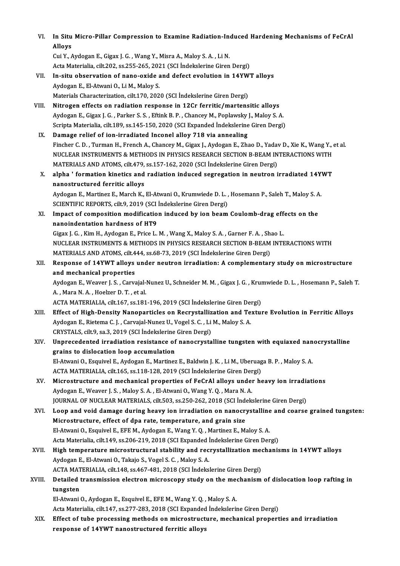| VI.    | In Situ Micro-Pillar Compression to Examine Radiation-Induced Hardening Mechanisms of FeCrAl<br>Alloys            |
|--------|-------------------------------------------------------------------------------------------------------------------|
|        | Cui Y., Aydogan E., Gigax J. G., Wang Y., Misra A., Maloy S. A., Li N.                                            |
|        | Acta Materialia, cilt.202, ss.255-265, 2021 (SCI İndekslerine Giren Dergi)                                        |
| VII.   | In-situ observation of nano-oxide and defect evolution in 14YWT alloys                                            |
|        | Aydogan E., El-Atwani O., Li M., Maloy S.                                                                         |
|        | Materials Characterization, cilt.170, 2020 (SCI İndekslerine Giren Dergi)                                         |
| VIII.  | Nitrogen effects on radiation response in 12Cr ferritic/martensitic alloys                                        |
|        | Aydogan E., Gigax J. G., Parker S. S., Eftink B. P., Chancey M., Poplawsky J., Maloy S. A.                        |
|        | Scripta Materialia, cilt.189, ss.145-150, 2020 (SCI Expanded İndekslerine Giren Dergi)                            |
| IX.    | Damage relief of ion-irradiated Inconel alloy 718 via annealing                                                   |
|        | Fincher C. D., Turman H., French A., Chancey M., Gigax J., Aydogan E., Zhao D., Yadav D., Xie K., Wang Y., et al. |
|        | NUCLEAR INSTRUMENTS & METHODS IN PHYSICS RESEARCH SECTION B-BEAM INTERACTIONS WITH                                |
|        | MATERIALS AND ATOMS, cilt.479, ss.157-162, 2020 (SCI İndekslerine Giren Dergi)                                    |
| X.     | alpha ' formation kinetics and radiation induced segregation in neutron irradiated 14YWT                          |
|        | nanostructured ferritic alloys                                                                                    |
|        | Aydogan E., Martinez E., March K., El-Atwani O., Krumwiede D. L., Hosemann P., Saleh T., Maloy S. A.              |
|        | SCIENTIFIC REPORTS, cilt.9, 2019 (SCI Indekslerine Giren Dergi)                                                   |
| XI.    | Impact of composition modification induced by ion beam Coulomb-drag effects on the                                |
|        | nanoindentation hardness of HT9                                                                                   |
|        | Gigax J. G., Kim H., Aydogan E., Price L. M., Wang X., Maloy S. A., Garner F. A., Shao L.                         |
|        | NUCLEAR INSTRUMENTS & METHODS IN PHYSICS RESEARCH SECTION B-BEAM INTERACTIONS WITH                                |
|        | MATERIALS AND ATOMS, cilt.444, ss.68-73, 2019 (SCI İndekslerine Giren Dergi)                                      |
| XII.   | Response of 14YWT alloys under neutron irradiation: A complementary study on microstructure                       |
|        | and mechanical properties                                                                                         |
|        | Aydogan E., Weaver J. S., Carvajal-Nunez U., Schneider M. M., Gigax J. G., Krumwiede D. L., Hosemann P., Saleh T  |
|        | A., Mara N.A., Hoelzer D.T., et al.                                                                               |
|        | ACTA MATERIALIA, cilt.167, ss.181-196, 2019 (SCI İndekslerine Giren Dergi)                                        |
| XIII.  | Effect of High-Density Nanoparticles on Recrystallization and Texture Evolution in Ferritic Alloys                |
|        | Aydogan E., Rietema C. J., Carvajal-Nunez U., Vogel S. C., Li M., Maloy S. A.                                     |
|        | CRYSTALS, cilt.9, sa.3, 2019 (SCI Indekslerine Giren Dergi)                                                       |
| XIV.   | Unprecedented irradiation resistance of nanocrystalline tungsten with equiaxed nanocrystalline                    |
|        | grains to dislocation loop accumulation                                                                           |
|        | El-Atwani O., Esquivel E., Aydogan E., Martinez E., Baldwin J. K., Li M., Uberuaga B. P., Maloy S. A.             |
|        | ACTA MATERIALIA, cilt.165, ss.118-128, 2019 (SCI İndekslerine Giren Dergi)                                        |
| XV.    | Microstructure and mechanical properties of FeCrAl alloys under heavy ion irradiations                            |
|        | Aydogan E., Weaver J. S., Maloy S. A., El-Atwani O., Wang Y. Q., Mara N. A.                                       |
|        | JOURNAL OF NUCLEAR MATERIALS, cilt.503, ss.250-262, 2018 (SCI İndekslerine Giren Dergi)                           |
| XVI.   | Loop and void damage during heavy ion irradiation on nanocrystalline and coarse grained tungsten:                 |
|        | Microstructure, effect of dpa rate, temperature, and grain size                                                   |
|        | El-Atwani O., Esquivel E., EFE M., Aydogan E., Wang Y. Q., Martinez E., Maloy S. A.                               |
|        | Acta Materialia, cilt.149, ss.206-219, 2018 (SCI Expanded İndekslerine Giren Dergi)                               |
| XVII.  | High temperature microstructural stability and recrystallization mechanisms in 14YWT alloys                       |
|        | Aydogan E., El-Atwani O., Takajo S., Vogel S. C., Maloy S. A.                                                     |
|        | ACTA MATERIALIA, cilt.148, ss.467-481, 2018 (SCI İndekslerine Giren Dergi)                                        |
| XVIII. | Detailed transmission electron microscopy study on the mechanism of dislocation loop rafting in<br>tungsten       |
|        | El-Atwani O., Aydogan E., Esquivel E., EFE M., Wang Y. Q., Maloy S. A.                                            |
|        | Acta Materialia, cilt.147, ss.277-283, 2018 (SCI Expanded İndekslerine Giren Dergi)                               |
| XIX.   | Effect of tube processing methods on microstructure, mechanical properties and irradiation                        |
|        | response of 14YWT nanostructured ferritic alloys                                                                  |
|        |                                                                                                                   |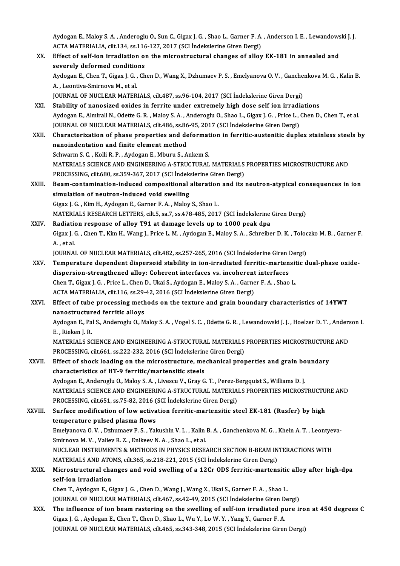Aydogan E., Maloy S. A. , Anderoglu O., Sun C., Gigax J. G. , Shao L., Garner F. A. , Anderson I. E. , Lewandowski J. J.<br>ACTA MATERIALIA, silt 134, ss 116, 127, 2017 (SCL Indelvering Giren Dergi) Aydogan E., Maloy S. A. , Anderoglu O., Sun C., Gigax J. G. , Shao L., Garner F. A.<br>ACTA MATERIALIA, cilt.134, ss.116-127, 2017 (SCI İndekslerine Giren Dergi)<br>Effect of self ion innediation on the misrestrustural shanges o Aydogan E., Maloy S. A. , Anderoglu O., Sun C., Gigax J. G. , Shao L., Garner F. A. , Anderson I. E. , Lewandows<br>ACTA MATERIALIA, cilt.134, ss.116-127, 2017 (SCI Indekslerine Giren Dergi)<br>XX. Effect of self-ion irradiation

ACTA MATERIALIA, cilt.134, ss.116<br>Effect of self-ion irradiation of<br>severely deformed conditions<br>Aydegan E. Chan T. Cigay L.C. Ch Effect of self-ion irradiation on the microstructural changes of alloy EK-181 in annealed and<br>severely deformed conditions<br>Aydogan E., Chen T., Gigax J. G. , Chen D., Wang X., Dzhumaev P. S. , Emelyanova O. V. , Ganchenkov severely deformed conditions<br>Aydogan E., Chen T., Gigax J. G. , C.<br>A. , Leontiva-Smirnova M., et al. Aydogan E., Chen T., Gigax J. G. , Chen D., Wang X., Dzhumaev P. S. , Emelyanova O. V. , Ganche<br>A. , Leontiva-Smirnova M., et al.<br>JOURNAL OF NUCLEAR MATERIALS, cilt.487, ss.96-104, 2017 (SCI İndekslerine Giren Dergi)<br>Stabi JOURNAL OF NUCLEAR MATERIALS, cilt.487, ss.96-104, 2017 (SCI Indekslerine Giren Dergi)<br>XXI. Stability of nanosized oxides in ferrite under extremely high dose self ion irradiations Aydogan E., Almirall N., Odette G.R., Maloy S.A., Anderoglu O., Shao L., Gigax J.G., Price L., Chen D., Chen T., et al. Stability of nanosized oxides in ferrite under extremely high dose self ion irradi<br>Aydogan E., Almirall N., Odette G. R. , Maloy S. A. , Anderoglu O., Shao L., Gigax J. G. , Price L., (<br>JOURNAL OF NUCLEAR MATERIALS, cilt.4 XXII. Characterization of phase properties and deformation in ferritic-austenitic duplex stainless steels by<br>nanoindentation and finite element method JOURNAL OF NUCLEAR MATERIALS, cilt.486, ss.86<br>Characterization of phase properties and denanoindentation and finite element method Schwarm S. C., Kolli R. P., Aydogan E., Mburu S., Ankem S. nanoindentation and finite element method<br>Schwarm S. C. , Kolli R. P. , Aydogan E., Mburu S., Ankem S.<br>MATERIALS SCIENCE AND ENGINEERING A-STRUCTURAL MATERIALS PROPERTIES MICROSTRUCTURE AND<br>PROCESSING silt 690, se 250, 267 Schwarm S. C. , Kolli R. P. , Aydogan E., Mburu S., Ankem S.<br>MATERIALS SCIENCE AND ENGINEERING A-STRUCTURAL MATERIALS<br>PROCESSING, cilt.680, ss.359-367, 2017 (SCI İndekslerine Giren Dergi)<br>Beem sentemination indused semnesi MATERIALS SCIENCE AND ENGINEERING A-STRUCTURAL MATERIALS PROPERTIES MICROSTRUCTURE AND<br>PROCESSING, cilt.680, ss.359-367, 2017 (SCI indekslerine Giren Dergi)<br>XXIII. Beam-contamination-induced compositional alteration and it PROCESSING, cilt.680, ss.359-367, 2017 (SCI Indekslerine Giren Dergi)<br>Beam-contamination-induced compositional alteration and its<br>simulation of neutron-induced void swelling<br>Gigax J. G., Kim H., Aydogan E., Garner F. A., M Beam-contamination-induced compositional alteration<br>simulation of neutron-induced void swelling<br>Gigax J. G. , Kim H., Aydogan E., Garner F. A. , Maloy S., Shao L.<br>MATERIALS RESEARCH LETTERS silt E 22.7, 22.478.485, 2011 MATERIALS RESEARCH LETTERS, cilt.5, sa.7, ss.478-485, 2017 (SCI İndekslerine Giren Dergi) Gigax J. G., Kim H., Aydogan E., Garner F. A., Maloy S., Shao L.<br>MATERIALS RESEARCH LETTERS, cilt.5, sa.7, ss.478-485, 2017 (SCI Indekslerine<br>XXIV. Radiation response of alloy T91 at damage levels up to 1000 peak dpa Gigax J. G. , Chen T., Kim H., Wang J., Price L. M. , Aydogan E., Maloy S. A. , Schreiber D. K. , Toloczko M. B. , Garner F.<br>A. , et al. Radiatio<br>Gigax J. (<br>A. , et al.<br>IOUPNA) Gigax J. G. , Chen T., Kim H., Wang J., Price L. M. , Aydogan E., Maloy S. A. , Schreiber D. K. , Toloc<br>A. , et al.<br>JOURNAL OF NUCLEAR MATERIALS, cilt.482, ss.257-265, 2016 (SCI İndekslerine Giren Dergi)<br>Temperature depend A. , et al.<br>JOURNAL OF NUCLEAR MATERIALS, cilt.482, ss.257-265, 2016 (SCI İndekslerine Giren Dergi)<br>XXV. Temperature dependent dispersoid stability in ion-irradiated ferritic-martensitic dual-phase oxide-<br>dispersion st JOURNAL OF NUCLEAR MATERIALS, cilt482, ss.257-265, 2016 (SCI Indekslerine Giren I<br>Temperature dependent dispersoid stability in ion-irradiated ferritic-marten<br>dispersion-strengthened alloy: Coherent interfaces vs. incohere Temperature dependent dispersoid stability in ion-irradiated ferritic-martensit<br>dispersion-strengthened alloy: Coherent interfaces vs. incoherent interfaces<br>Chen T., Gigax J. G. , Price L., Chen D., Ukai S., Aydogan E., Ma dispersion-strengthened alloy: Coherent interfaces vs. incoherent interfaces<br>Chen T., Gigax J. G. , Price L., Chen D., Ukai S., Aydogan E., Maloy S. A. , Garner F. A. , Shao L.<br>ACTA MATERIALIA, cilt.116, ss.29-42, 2016 (SC XXVI. Effect of tube processing methods on the texture and grain boundary characteristics of 14YWT ACTA MATERIALIA, cilt.116, ss.29-<br>Effect of tube processing meth<br>nanostructured ferritic alloys<br>Aydogan E. Bal S. Anderegiu O. M Aydogan E., Pal S., Anderoglu O., Maloy S. A. , Vogel S. C. , Odette G. R. , Lewandowski J. J. , Hoelzer D. T. , Anderson I.<br>E. , Rieken J. R. **nanostructur<br>Aydogan E., Pa<br>E. , Rieken J. R.<br>MATERIALS SC** Aydogan E., Pal S., Anderoglu O., Maloy S. A. , Vogel S. C. , Odette G. R. , Lewandowski J. J. , Hoelzer D. T. , Anders<br>E. , Rieken J. R.<br>MATERIALS SCIENCE AND ENGINEERING A-STRUCTURAL MATERIALS PROPERTIES MICROSTRUCTURE A E. , Rieken J. R.<br>MATERIALS SCIENCE AND ENGINEERING A-STRUCTURAL MATERIALS<br>PROCESSING, cilt.661, ss.222-232, 2016 (SCI İndekslerine Giren Dergi)<br>Effect of shack loading an the misrostruature, mashanisal nraj MATERIALS SCIENCE AND ENGINEERING A-STRUCTURAL MATERIALS PROPERTIES MICROSTRUCTUR<br>PROCESSING, cilt.661, ss.222-232, 2016 (SCI indekslerine Giren Dergi)<br>XXVII. Effect of shock loading on the microstructure, mechanical prope PROCESSING, cilt.661, ss.222-232, 2016 (SCI Indekslerine Giren Dergi)<br>Effect of shock loading on the microstructure, mechanical properties and grain bo<br>characteristics of HT-9 ferritic/martensitic steels<br>Aydogan E., Andero Effect of shock loading on the microstructure, mechanical properties and grain boundary characteristics of HT-9 ferritic/martensitic steels<br>Aydogan E., Anderoglu O., Maloy S. A. , Livescu V., Gray G. T. , Perez-Bergquist S., Williams D. J.<br>MATERIALS SCIENCE AND ENGINEERING A-STRUCTURAL MATERIALS PROPERTIES MI Aydogan E., Anderoglu O., Maloy S. A. , Livescu V., Gray G. T. , Perez-B<br>MATERIALS SCIENCE AND ENGINEERING A-STRUCTURAL MATERIA<br>PROCESSING, cilt.651, ss.75-82, 2016 (SCI İndekslerine Giren Dergi)<br>Surface modification of le MATERIALS SCIENCE AND ENGINEERING A-STRUCTURAL MATERIALS PROPERTIES MICROSTRUCTU<br>PROCESSING, cilt.651, ss.75-82, 2016 (SCI İndekslerine Giren Dergi)<br>XXVIII. Surface modification of low activation ferritic-martensitic steel PROCESSING, cilt.651, ss.75-82, 2016 (<br>Surface modification of low active<br>temperature pulsed plasma flows<br>Emelyaneve Q.V., Drhumaev B.S., Val Surface modification of low activation ferritic-martensitic steel EK-181 (Rusfer) by high<br>temperature pulsed plasma flows<br>Emelyanova O. V. , Dzhumaev P. S. , Yakushin V. L. , Kalin B. A. , Ganchenkova M. G. , Khein A. T. , te<mark>mperature pulsed plasma flows</mark><br>Emelyanova O. V. , Dzhumaev P. S. , Yakushin V. L. , Kalin<br>Smirnova M. V. , Valiev R. Z. , Enikeev N. A. , Shao L., et al.<br>NUCLEAR INSTRUMENTS & METHODS IN RHYSICS RESE. Emelyanova O. V. , Dzhumaev P. S. , Yakushin V. L. , Kalin B. A. , Ganchenkova M. G. , Khein A. T. , Leontyev<br>Smirnova M. V. , Valiev R. Z. , Enikeev N. A. , Shao L., et al.<br>NUCLEAR INSTRUMENTS & METHODS IN PHYSICS RESEARC Smirnova M. V. , Valiev R. Z. , Enikeev N. A. , Shao L., et al.<br>NUCLEAR INSTRUMENTS & METHODS IN PHYSICS RESEARCH SECTION B-BEAM INTERACTIONS WITH NUCLEAR INSTRUMENTS & METHODS IN PHYSICS RESEARCH SECTION B-BEAM INTERACTIONS WITH<br>MATERIALS AND ATOMS, cilt.365, ss.218-221, 2015 (SCI İndekslerine Giren Dergi)<br>XXIX. Microstructural changes and void swelling of a 12Cr OD MATERIALS AND ATOMS, cilt.365, ss.218-221, 2015 (SCI Indekslerine Giren Dergi)<br>Microstructural changes and void swelling of a 12Cr ODS ferritic-martensitic<br>self-ion irradiation<br>Chen T., Aydogan E., Gigax J. G., Chen D., Wa Microstructural changes and void swelling of a 12Cr ODS ferritic-martensitic<br>self-ion irradiation<br>Chen T., Aydogan E., Gigax J. G. , Chen D., Wang J., Wang X., Ukai S., Garner F. A. , Shao L.<br>JOUPMAL OF NUCLEAR MATERIALS, self-ion irradiation<br>Chen T., Aydogan E., Gigax J. G. , Chen D., Wang J., Wang X., Ukai S., Garner F. A. , Shao L.<br>JOURNAL OF NUCLEAR MATERIALS, cilt.467, ss.42-49, 2015 (SCI İndekslerine Giren Dergi)<br>The influence of ian XXX. The influence of ion beam rastering on the swelling of self-ion irradiated pure iron at 450 degrees C<br>Gigax J. G., Aydogan E., Chen T., Chen D., Shao L., Wu Y., Lo W. Y., Yang Y., Garner F. A. JOURNAL OF NUCLEAR MATERIALS, cilt.467, ss.42-49, 2015 (SCI indekslerine Giren D<br>The influence of ion beam rastering on the swelling of self-ion irradiated pu<br>Gigax J. G. , Aydogan E., Chen T., Chen D., Shao L., Wu Y., Lo JOURNALOFNUCLEARMATERIALS, cilt.465, ss.343-348,2015 (SCI İndekslerineGirenDergi)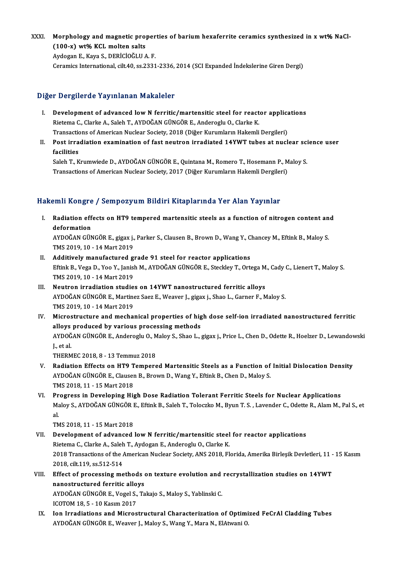XXXI. Morphology and magnetic properties of barium hexaferrite ceramics synthesized in x wt% NaCl-<br>(199 x) wt% KGL melten salte Morphology and magnetic pro<br>(100-x) wt% KCL molten salts<br>Avdogan E. Kava S. DERICIOČLUA

(100-x) wt% KCL molten salts<br>Aydogan E., Kaya S., DERİCİOĞLU A.F. Ceramics International, cilt.40, ss.2331-2336,2014 (SCIExpanded İndekslerineGirenDergi)

## Diğer Dergilerde Yayınlanan Makaleler

- Iger Dergilerde Yayınlanan Makaleler<br>I. Development of advanced low N ferritic/martensitic steel for reactor applications<br>Ristama C Clarke A, Salah T, AVDOČAN CÜNCÖB E, Anderegiu O, Clarke K Rietemac., Clarke A., Saleh T., AYDOĞAN GÜNGÖR E., Anderoglu O., Clarke K.<br>Rietema C., Clarke A., Saleh T., AYDOĞAN GÜNGÖR E., Anderoglu O., Clarke K.<br>Transastians of American Nuelear Sasisty, 2019 (Diğer Kurumların Hakaml Development of advanced low N ferritic/martensitic steel for reactor applicannelistic Society, 2018 (Diğer Kurumların Hakemli Dergileri)<br>Transactions of American Nuclear Society, 2018 (Diğer Kurumların Hakemli Dergileri)<br>P Rietema C., Clarke A., Saleh T., AYDOĞAN GÜNGÖR E., Anderoglu O., Clarke K.<br>Transactions of American Nuclear Society, 2018 (Diğer Kurumların Hakemli Dergileri)<br>II. Post irradiation examination of fast neutron irradiated 14
- Transaction<br>Post irra<br>facilities<br>Salah Tuk Post irradiation examination of fast neutron irradiated 14YWT tubes at nuclear sci<br>facilities<br>Saleh T., Krumwiede D., AYDOĞAN GÜNGÖR E., Quintana M., Romero T., Hosemann P., Maloy S.<br>Transastiana of Amarican Nuclear Sacist

facilities<br>Saleh T., Krumwiede D., AYDOĞAN GÜNGÖR E., Quintana M., Romero T., Hosemann P., Maloy S.<br>Transactions of American Nuclear Society, 2017 (Diğer Kurumların Hakemli Dergileri)

## Hakemli Kongre / Sempozyum Bildiri Kitaplarında Yer Alan Yayınlar

- akemli Kongre / Sempozyum Bildiri Kitaplarında Yer Alan Yayınlar<br>I. Radiation effects on HT9 tempered martensitic steels as a function of nitrogen content and<br>defermation Anni recingit<br>Radiation eff<br>deformation<br>ANDOČAN CÜN Radiation effects on HT9 tempered martensitic steels as a function of nitrogen content an<br>deformation<br>AYDOĞAN GÜNGÖR E., gigax j., Parker S., Clausen B., Brown D., Wang Y., Chancey M., Eftink B., Maloy S.<br>TMS 2019 10, 14 M deformation<br>AYDOĞAN GÜNGÖR E., gigax j., Parker S., Clausen B., Brown D., Wang Y., Chancey M., Eftink B., Maloy S.<br>TMS 2019, 10 - 14 Mart 2019 AYDOĞAN GÜNGÖR E., gigax j., Parker S., Clausen B., Brown D., Wang Y., C<br>TMS 2019, 10 - 14 Mart 2019<br>II. Additively manufactured grade 91 steel for reactor applications<br>F<sup>erink B.</sub> Vega D. Vee V. Japish M. AYDOĞAN CÜNGÖB E</sup>
- Eftink B., Vega D., Yoo Y., Janish M., AYDOĞAN GÜNGÖR E., Steckley T., Ortega M., Cady C., Lienert T., Maloy S.<br>TMS 2019, 10 14 Mart 2019 Additively manufactured g<br>Eftink B., Vega D., Yoo Y., Janisl<br>TMS 2019, 10 - 14 Mart 2019<br>Noutron irredistion studie Eftink B., Vega D., Yoo Y., Janish M., AYDOĞAN GÜNGÖR E., Steckley T., Ortega M<br>TMS 2019, 10 - 14 Mart 2019<br>III. Neutron irradiation studies on 14YWT nanostructured ferritic alloys<br>AYDOĞAN GÜNGÖR E. Martinez Soca E. Weaver
- TMS 2019, 10 14 Mart 2019<br>Neutron irradiation studies on 14YWT nanostructured ferritic alloys<br>AYDOĞAN GÜNGÖR E., Martinez Saez E., Weaver J., gigax j., Shao L., Garner F., Maloy S.<br>TMS 2019, 10 14 Mart 2019 Neutron irradiation studie<br>AYDOĞAN GÜNGÖR E., Martine<br>TMS 2019, 10 - 14 Mart 2019<br>Mianostnusture end mosbol AYDOĞAN GÜNGÖR E., Martinez Saez E., Weaver J., gigax j., Shao L., Garner F., Maloy S.<br>TMS 2019, 10 - 14 Mart 2019<br>IV. Microstructure and mechanical properties of high dose self-ion irradiated nanostructured ferritic<br>allow
- TMS 2019, 10 14 Mart 2019<br>Microstructure and mechanical properties of hig<br>alloys produced by various processing methods<br>AYDOČAN CÜNCÖP E. Anderesiu O. Maley S. Shee L. Microstructure and mechanical properties of high dose self-ion irradiated nanostructured ferritic<br>alloys produced by various processing methods<br>AYDOĞAN GÜNGÖR E., Anderoglu O., Maloy S., Shao L., gigax j., Price L., Chen D alloys produced by various processing methods<br>AYDOĞAN GÜNGÖR E., Anderoglu O., Maloy S., Shao L.,<br>J., et al.<br>THERMEC 2018, 8 - 13 Temmuz 2018 AYDOĞAN GÜNGÖR E., Anderoglu O., Maloy S., Shao L., gigax j., Price L., Chen D., Odette R., Hoelzer D., Lewandowski
	-
- V. Radiation Effects on HT9 Tempered Martensitic Steels as a Function of Initial Dislocation Density THERMEC 2018, 8 - 13 Temmuz 2018<br>Radiation Effects on HT9 Tempered Martensitic Steels as a Function of<br>AYDOĞAN GÜNGÖR E., Clausen B., Brown D., Wang Y., Eftink B., Chen D., Maloy S.<br>TMS 2019, 11 - 15 Mart 2019 Radiation Effects on HT9 T<br>AYDOĞAN GÜNGÖR E., Clauser<br>TMS 2018, 11 - 15 Mart 2018<br>Progress in Develening His AYDOĞAN GÜNGÖR E., Clausen B., Brown D., Wang Y., Eftink B., Chen D., Maloy S.<br>TMS 2018, 11 - 15 Mart 2018<br>VI. Progress in Developing High Dose Radiation Tolerant Ferritic Steels for Nuclear Applications<br>Maloy S. AYDOĞAN C
- TMS 2018, 11 15 Mart 2018<br>Progress in Developing High Dose Radiation Tolerant Ferritic Steels for Nuclear Applications<br>Maloy S., AYDOĞAN GÜNGÖR E., Eftink B., Saleh T., Toloczko M., Byun T. S. , Lavender C., Odette R., A Pr<br>Ma<br>al<br>Th Maloy S., AYDOĞAN GÜNGÖR I<br>al.<br>TMS 2018, 11 - 15 Mart 2018<br>Develenment of advanced al.<br>TMS 2018, 11 - 15 Mart 2018<br>VII. Development of advanced low N ferritic/martensitic steel for reactor applications

- TMS 2018, 11 15 Mart 2018<br>Development of advanced low N ferritic/martensitic steel<br>Rietema C., Clarke A., Saleh T., Aydogan E., Anderoglu O., Clarke K.<br>2018 Transastions of the American Nuclear Sasisty, ANS 2019, Fl 2018 Transactions of the American Nuclear Society, ANS 2018, Florida, Amerika Birleşik Devletleri, 11 - 15 Kasım<br>2018, cilt.119, ss.512-514 Rietema C., Clarke A., Saleh<br>2018 Transactions of the *1*<br>2018, cilt.119, ss.512-514<br>Effect of processing me 2018 Transactions of the American Nuclear Society, ANS 2018, Florida, Amerika Birleşik Devletleri, 11 -<br>2018, cilt.119, ss.512-514<br>VIII. Effect of processing methods on texture evolution and recrystallization studies on 14
- 2018, cilt.119, ss.512-514<br>Effect of processing methods<br>nanostructured ferritic alloys<br>AVDOČAN CÜNCÖP E Vegel S. To Effect of processing methods on texture evolution and<br>nanostructured ferritic alloys<br>AYDOĞAN GÜNGÖR E., Vogel S., Takajo S., Maloy S., Yablinski C.<br>ICOTOM 18.5 - 10 Kasım 2017 nanostructured ferritic alloys<br>AYDOĞAN GÜNGÖR E., Vogel S., Takajo S., Maloy S., Yablinski C.<br>ICOTOM 18, 5 - 10 Kasım 2017 AYDOĞAN GÜNGÖR E., Vogel S., Takajo S., Maloy S., Yablinski C.<br>ICOTOM 18, 5 - 10 Kasım 2017<br>IX. Ion Irradiations and Microstructural Characterization of Optimized FeCrAl Cladding Tubes<br>AYDOĞAN CÜNCÖR E. WARYAT L. Maloy S.
- ICOTOM 18, 5 10 Kasım 2017<br>Ion Irradiations and Microstructural Characterization of Optimi<br>AYDOĞAN GÜNGÖR E., Weaver J., Maloy S., Wang Y., Mara N., ElAtwani O.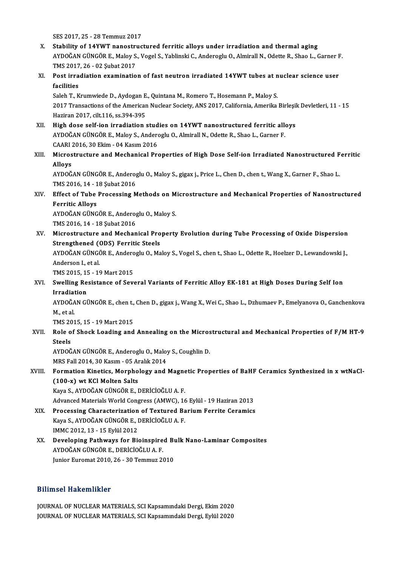SES 2017, 25 - 28 Temmuz 2017

- SES 2017, 25 28 Temmuz 2017<br>X. Stability of 14YWT nanostructured ferritic alloys under irradiation and thermal aging<br>AVDOČAN CÜNCÖR E. Malay S. Vegel S. Vablingli C. Andenagly O. Alminall N. Odette B. Shae L. G AYDOĞAN GÜNGÖR E., Maloy S., Vogel S., Yablinski C., Anderoglu O., Almirall N., Odette R., Shao L., Garner F. Stability of 14YWT nanostri<br>AYDOĞAN GÜNGÖR E., Maloy S.<br>TMS 2017, 26 - 02 Şubat 2017<br>Post innediation avaminatio TMS 2017.26 - 02 Subat 2017
- XI. Post irradiation examination of fast neutron irradiated 14YWT tubes at nuclear science user Post irradiation examination of fast neutron irradiated 14YWT tubes at n<br>facilities<br>Saleh T., Krumwiede D., Aydogan E., Quintana M., Romero T., Hosemann P., Maloy S.<br>2017 Transastions of the American Nuclear Society, ANS 2

2017 Transactions of the American Nuclear Society, ANS 2017, California, Amerika Birleşik Devletleri, 11 - 15<br>Haziran 2017. cilt 116. ss. 394-395 Saleh T., Krumwiede D., Aydogan E<br>2017 Transactions of the Americar<br>Haziran 2017, cilt.116, ss.394-395<br>High dose self ion innediation 2017 Transactions of the American Nuclear Society, ANS 2017, California, Amerika Birleşil<br>Haziran 2017, cilt.116, ss.394-395<br>XII. High dose self-ion irradiation studies on 14YWT nanostructured ferritic alloys<br>AVDOČAN CÜNCÖ

- Haziran 2017, cilt.116, ss.394-395<br>High dose self-ion irradiation studies on 14YWT nanostructured ferritic alle<br>AYDOĞAN GÜNGÖR E., Maloy S., Anderoglu O., Almirall N., Odette R., Shao L., Garner F.<br>CAAPL 2016, 20 Flsm., 04 High dose self-ion irradiation stud<br>AYDOĞAN GÜNGÖR E., Maloy S., Ander<br>CAARI 2016, 30 Ekim - 04 Kasım 2016<br>Mianostrusture and Mosbanisel Pre AYDOĞAN GÜNGÖR E., Maloy S., Anderoglu O., Almirall N., Odette R., Shao L., Garner F.<br>CAARI 2016, 30 Ekim - 04 Kasım 2016<br>XIII. Microstructure and Mechanical Properties of High Dose Self-ion Irradiated Nanostructured Ferri
- CAARI<br>Micros<br>Alloys<br>A<sup>VDOČ</sup> Microstructure and Mechanical Properties of High Dose Self-ion Irradiated Nanostructured F<br>Alloys<br>AYDOĞAN GÜNGÖR E., Anderoglu O., Maloy S., gigax j., Price L., Chen D., chen t., Wang X., Garner F., Shao L.<br>TMS 2016 14 - 1

Alloys<br>AYDOĞAN GÜNGÖR E., Anderoglu O., Maloy S., gigax j., Price L., Chen D., chen t., Wang X., Garner F., Shao L.<br>TMS 2016, 14 - 18 Şubat 2016 AYDOĞAN GÜNGÖR E., Anderoglu O., Maloy S., gigax j., Price L., Chen D., chen t., Wang X., Garner F., Shao L.<br>TMS 2016, 14 - 18 Şubat 2016<br>XIV. Effect of Tube Processing Methods on Microstructure and Mechanical Properties o

# TMS 2016, 14 - 1<br>Effect of Tube<br>Ferritic Alloys<br>AYDOČAN CÜNC Effect of Tube Processing Methods on M<br>Ferritic Alloys<br>AYDOĞAN GÜNGÖR E., Anderoglu O., Maloy S.<br>TMS 2016 14, 19 Subat 2016

Ferritic Alloys<br>AYDOĞAN GÜNGÖR E., Anderoglu O., Maloy S.<br>TMS 2016, 14 - 18 Şubat 2016

AYDOĞAN GÜNGÖR E., Anderoglu O., Maloy S.<br>TMS 2016, 14 - 18 Şubat 2016<br>XV. Microstructure and Mechanical Property Evolution during Tube Processing of Oxide Dispersion<br>Strongthoned (ODS) Forritic Stools TMS 2016, 14 - 18 Şubat 2016<br>Microstructure and Mechanical Pro<br>Strengthened (ODS) Ferritic Steels<br>AYDOČAN CÜNCÖP E. Anderegiu O. Ma Microstructure and Mechanical Property Evolution during Tube Processing of Oxide Dispersion<br>Strengthened (ODS) Ferritic Steels<br>AYDOĞAN GÜNGÖR E., Anderoglu O., Maloy S., Vogel S., chen t., Shao L., Odette R., Hoelzer D., L

Strengthened ()<br>AYDOĞAN GÜNGÖ<br>Anderson I., et al.<br>TMS 2015-15-19 AYDOĞAN GÜNGÖR E., Andero<br>Anderson I., et al.<br>TMS 2015, 15 - 19 Mart 2015<br>Swalling Bosistance of Sov

# Anderson I., et al.<br>TMS 2015, 15 - 19 Mart 2015<br>XVI. Swelling Resistance of Several Variants of Ferritic Alloy EK-181 at High Doses During Self Ion<br>Innediation TMS 2015, 15<br>Swelling Re<br>Irradiation<br>AYDOČAN CI Swelling Resistance of Several Variants of Ferritic Alloy EK-181 at High Doses During Self Ion<br>Irradiation<br>AYDOĞAN GÜNGÖR E., chen t., Chen D., gigax j., Wang X., Wei C., Shao L., Dzhumaev P., Emelyanova O., Ganchenkova<br>M.

I<mark>rradia</mark>t<br>AYDOĞA<br>M., et al.<br>TMS 201 AYDOĞAN GÜNGÖR E., chen t.,<br>M., et al.<br>TMS 2015, 15 - 19 Mart 2015<br>Bole of Shock Loading and

M., et al.<br>TMS 2015, 15 - 19 Mart 2015<br>XVII. Role of Shock Loading and Annealing on the Microstructural and Mechanical Properties of F/M HT-9<br>Stoole TMS 20<br>Role o<br>Steels Role of Shock Loading and Annealing on the Micros<br>Steels<br>AYDOĞAN GÜNGÖR E., Anderoglu O., Maloy S., Coughlin D.<br>MPS Fell 2014, 20 Kasım, QE Aralık 2014

Steels<br>AYDOĞAN GÜNGÖR E., Anderoglu O., Maloy<br>MRS Fall 2014, 30 Kasım - 05 Aralık 2014<br>Formation Kinetise, Marnhology and

## AYDOĞAN GÜNGÖR E., Anderoglu O., Maloy S., Coughlin D.<br>MRS Fall 2014, 30 Kasım - 05 Aralık 2014<br>XVIII. Formation Kinetics, Morphology and Magnetic Properties of BaHF Ceramics Synthesized in x wtNaCl-<br>(100 F) ut KGl Maltan MRS Fall 2014, 30 Kasım - 05 Alt<br>Formation Kinetics, Morpho<br>(100-x) wt KCl Molten Salts<br>Kava S. AVDOČAN CÜNCÖB E. L Formation Kinetics, Morphology and Magne<br>(100-x) wt KCl Molten Salts<br>Kaya S., AYDOĞAN GÜNGÖR E., DERİCİOĞLU A. F.<br>Advanced Materials Werld Congress (AMWC) 16 (100-x) wt KCl Molten Salts<br>Kaya S., AYDOĞAN GÜNGÖR E., DERİCİOĞLU A. F.<br>Advanced Materials World Congress (AMWC), 16 Eylül - 19 Haziran 2013<br>Processing Characterization of Textured Barium Ferrite Ceremics

- Kaya S., AYDOĞAN GÜNGÖR E., DERİCİOĞLU A. F.<br>Advanced Materials World Congress (AMWC), 16 Eylül 19 Haziran 2013<br>XIX. Processing Characterization of Textured Barium Ferrite Ceramics<br>Kaya S. AYDOĞAN CÜNGÖR E. DERİCİOĞLU A. Advanced Materials World Congress (AMWC), 16<br>Processing Characterization of Textured Ba<br>Kaya S., AYDOĞAN GÜNGÖR E., DERİCİOĞLU A. F.<br>IMMC 2012-12-15 Evlül 2012 XIX. Processing Characterization of Textured Barium Ferrite Ceramics<br>Kaya S., AYDOĞAN GÜNGÖR E., DERİCİOĞLU A. F.<br>IMMC 2012, 13 - 15 Eylül 2012 Kaya S., AYDOĞAN GÜNGÖR E., DERİCİOĞLU A. F.<br>IMMC 2012, 13 - 15 Eylül 2012<br>XX. Developing Pathways for Bioinspired Bulk Nano-Laminar Composites<br>AVDOĞAN CÜNGÖR E. DERİCİOĞLU A. E
- IMMC 2012, 13 15 Eylül 2012<br>Developing Pathways for Bioinspire<br>AYDOĞAN GÜNGÖR E., DERİCİOĞLU A. F.<br>Junior Euromet 2010, 26 20 Tommuz 24 Developing Pathways for Bioinspired Bı<br>AYDOĞAN GÜNGÖR E., DERİCİOĞLU A. F.<br>Junior Euromat 2010, 26 - 30 Temmuz 2010 Junior Euromat 2010, 26 - 30 Temmuz 2010<br>Bilimsel Hakemlikler

Bilimsel Hakemlikler<br>JOURNAL OF NUCLEAR MATERIALS, SCI Kapsamındaki Dergi, Ekim 2020<br>JOURNAL OF NUCLEAR MATERIALS, SCI Kapsamındaki Dergi, Erkil 2020 DAAMOOT ATANGAHANIST<br>JOURNAL OF NUCLEAR MATERIALS, SCI Kapsamındaki Dergi, Ekim 2020<br>JOURNAL OF NUCLEAR MATERIALS, SCI Kapsamındaki Dergi, Eylül 2020